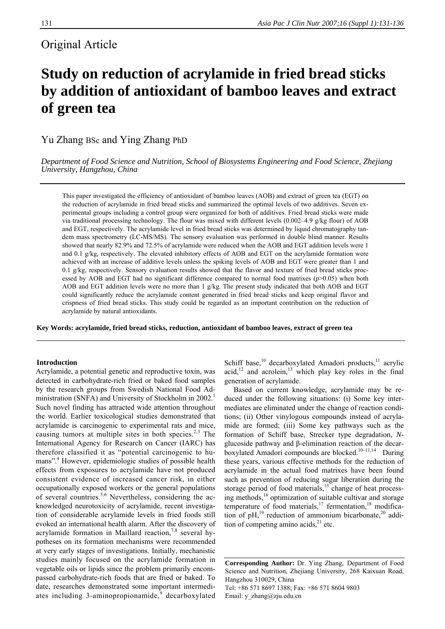# Original Article

# **Study on reduction of acrylamide in fried bread sticks by addition of antioxidant of bamboo leaves and extract of green tea**

Yu Zhang BSc and Ying Zhang PhD

*Department of Food Science and Nutrition, School of Biosystems Engineering and Food Science, Zhejiang University, Hangzhou, China* 

This paper investigated the efficiency of antioxidant of bamboo leaves (AOB) and extract of green tea (EGT) on the reduction of acrylamide in fried bread sticks and summarized the optimal levels of two additives. Seven experimental groups including a control group were organized for both of additives. Fried bread sticks were made via traditional processing technology. The flour was mixed with different levels (0.002–4.9 g/kg flour) of AOB and EGT, respectively. The acrylamide level in fried bread sticks was determined by liquid chromatography tandem mass spectrometry (LC-MS/MS). The sensory evaluation was performed in double blind manner. Results showed that nearly 82.9% and 72.5% of acrylamide were reduced when the AOB and EGT addition levels were 1 and 0.1 g/kg, respectively. The elevated inhibitory effects of AOB and EGT on the acrylamide formation were achieved with an increase of additive levels unless the spiking levels of AOB and EGT were greater than 1 and 0.1 g/kg, respectively. Sensory evaluation results showed that the flavor and texture of fried bread sticks processed by AOB and EGT had no significant difference compared to normal food matrixes (*p*>0.05) when both AOB and EGT addition levels were no more than 1 g/kg. The present study indicated that both AOB and EGT could significantly reduce the acrylamide content generated in fried bread sticks and keep original flavor and crispness of fried bread sticks. This study could be regarded as an important contribution on the reduction of acrylamide by natural antioxidants.

**Key Words: acrylamide, fried bread sticks, reduction, antioxidant of bamboo leaves, extract of green tea** 

# **Introduction**

Acrylamide, a potential genetic and reproductive toxin, was detected in carbohydrate-rich fried or baked food samples by the research groups from Swedish National Food Administration (SNFA) and University of Stockholm in 2002.<sup>1</sup> Such novel finding has attracted wide attention throughout the world. Earlier toxicological studies demonstrated that acrylamide is carcinogenic to experimental rats and mice, causing tumors at multiple sites in both species. $2,3$  The International Agency for Research on Cancer (IARC) has therefore classified it as "potential carcinogenic to humans".<sup>4</sup> However, epidemiologic studies of possible health effects from exposures to acrylamide have not produced consistent evidence of increased cancer risk, in either occupationally exposed workers or the general populations of several countries.<sup>5,6</sup> Nevertheless, considering the acknowledged neurotoxicity of acrylamide, recent investigation of considerable acrylamide levels in fried foods still evoked an international health alarm. After the discovery of acrylamide formation in Maillard reaction,<sup>7,8</sup> several hypotheses on its formation mechanisms were recommended at very early stages of investigations. Initially, mechanistic studies mainly focused on the acrylamide formation in vegetable oils or lipids since the problem primarily encompassed carbohydrate-rich foods that are fried or baked. To date, researches demonstrated some important intermediates including 3-aminopropionamide, $\overline{9}$  decarboxylated

Schiff base,<sup>10</sup> decarboxylated Amadori products,<sup>11</sup> acrylic acid, $12$  and acrolein, $13$  which play key roles in the final generation of acrylamide.

 Based on current knowledge, acrylamide may be reduced under the following situations: (i) Some key intermediates are eliminated under the change of reaction conditions; (ii) Other vinylogous compounds instead of acrylamide are formed; (iii) Some key pathways such as the formation of Schiff base, Strecker type degradation, *N*glucoside pathway and β-elimination reaction of the decarboxylated Amadori compounds are blocked.<sup>10–11,14</sup> During these years, various effective methods for the reduction of acrylamide in the actual food matrixes have been found such as prevention of reducing sugar liberation during the storage period of food materials,  $15$  change of heat processing methods,16 optimization of suitable cultivar and storage temperature of food materials,<sup>17</sup> fermentation,<sup>18</sup> modification of pH,<sup>19</sup> reduction of ammonium bicarbonate,<sup>20</sup> addition of competing amino acids, $^{21}$  etc.

**Corresponding Author:** Dr. Ying Zhang, Department of Food Science and Nutrition, Zhejiang University, 268 Kaixuan Road, Hangzhou 310029, China Tel: +86 571 8697 1388; Fax: +86 571 8604 9803 Email: y\_zhang@zju.edu.cn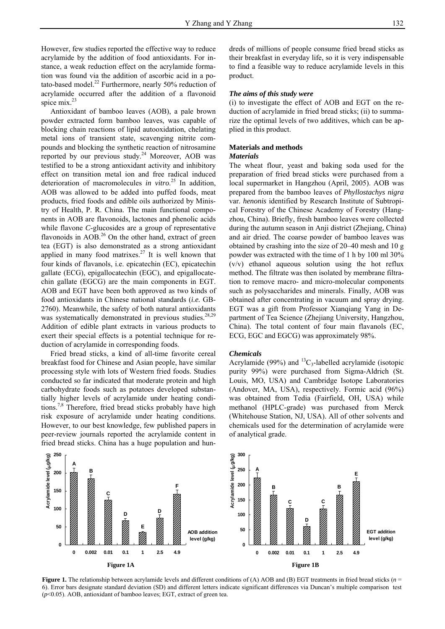However, few studies reported the effective way to reduce acrylamide by the addition of food antioxidants. For instance, a weak reduction effect on the acrylamide formation was found via the addition of ascorbic acid in a potato-based model. $^{22}$  Furthermore, nearly 50% reduction of acrylamide occurred after the addition of a flavonoid spice mix.<sup>23</sup>

 Antioxidant of bamboo leaves (AOB), a pale brown powder extracted form bamboo leaves, was capable of blocking chain reactions of lipid autooxidation, chelating metal ions of transient state, scavenging nitrite compounds and blocking the synthetic reaction of nitrosamine reported by our previous study.<sup>24</sup> Moreover, AOB was testified to be a strong antioxidant activity and inhibitory effect on transition metal ion and free radical induced deterioration of macromolecules *in vitro*. 25 In addition, AOB was allowed to be added into puffed foods, meat products, fried foods and edible oils authorized by Ministry of Health, P. R. China. The main functional components in AOB are flavonoids, lactones and phenolic acids while flavone *C*-glucosides are a group of representative flavonoids in  $AOB<sup>26</sup>$  On the other hand, extract of green tea (EGT) is also demonstrated as a strong antioxidant applied in many food matrixes.<sup>27</sup> It is well known that four kinds of flavanols, i.e. epicatechin (EC), epicatechin gallate (ECG), epigallocatechin (EGC), and epigallocatechin gallate (EGCG) are the main components in EGT. AOB and EGT have been both approved as two kinds of food antioxidants in Chinese national standards (*i.e.* GB-2760). Meanwhile, the safety of both natural antioxidants was systematically demonstrated in previous studies.<sup>28,29</sup> Addition of edible plant extracts in various products to exert their special effects is a potential technique for reduction of acrylamide in corresponding foods.

 Fried bread sticks, a kind of all-time favorite cereal breakfast food for Chinese and Asian people, have similar processing style with lots of Western fried foods. Studies conducted so far indicated that moderate protein and high carbohydrate foods such as potatoes developed substantially higher levels of acrylamide under heating conditions.7,8 Therefore, fried bread sticks probably have high risk exposure of acrylamide under heating conditions. However, to our best knowledge, few published papers in peer-review journals reported the acrylamide content in fried bread sticks. China has a huge population and hundreds of millions of people consume fried bread sticks as their breakfast in everyday life, so it is very indispensable to find a feasible way to reduce acrylamide levels in this product.

# *The aims of this study were*

(i) to investigate the effect of AOB and EGT on the reduction of acrylamide in fried bread sticks; (ii) to summarize the optimal levels of two additives, which can be applied in this product.

### **Materials and methods**

#### *Materials*

The wheat flour, yeast and baking soda used for the preparation of fried bread sticks were purchased from a local supermarket in Hangzhou (April, 2005). AOB was prepared from the bamboo leaves of *Phyllostachys nigra* var. *henonis* identified by Research Institute of Subtropical Forestry of the Chinese Academy of Forestry (Hangzhou, China). Briefly, fresh bamboo leaves were collected during the autumn season in Anji district (Zhejiang, China) and air dried. The coarse powder of bamboo leaves was obtained by crashing into the size of 20–40 mesh and 10 g powder was extracted with the time of 1 h by 100 ml 30% (v/v) ethanol aqueous solution using the hot reflux method. The filtrate was then isolated by membrane filtration to remove macro- and micro-molecular components such as polysaccharides and minerals. Finally, AOB was obtained after concentrating in vacuum and spray drying. EGT was a gift from Professor Xianqiang Yang in Department of Tea Science (Zhejiang University, Hangzhou, China). The total content of four main flavanols (EC, ECG, EGC and EGCG) was approximately 98%.

#### *Chemicals*

Acrylamide (99%) and  ${}^{13}C_3$ -labelled acrylamide (isotopic purity 99%) were purchased from Sigma-Aldrich (St. Louis, MO, USA) and Cambridge Isotope Laboratories (Andover, MA, USA), respectively. Formic acid (96%) was obtained from Tedia (Fairfield, OH, USA) while methanol (HPLC-grade) was purchased from Merck (Whitehouse Station, NJ, USA). All of other solvents and chemicals used for the determination of acrylamide were of analytical grade.



**Figure 1.** The relationship between acrylamide levels and different conditions of (A) AOB and (B) EGT treatments in fried bread sticks (*n* = 6). Error bars designate standard deviation (SD) and different letters indicate significant differences via Duncan's multiple comparison test (*p*<0.05). AOB, antioxidant of bamboo leaves; EGT, extract of green tea.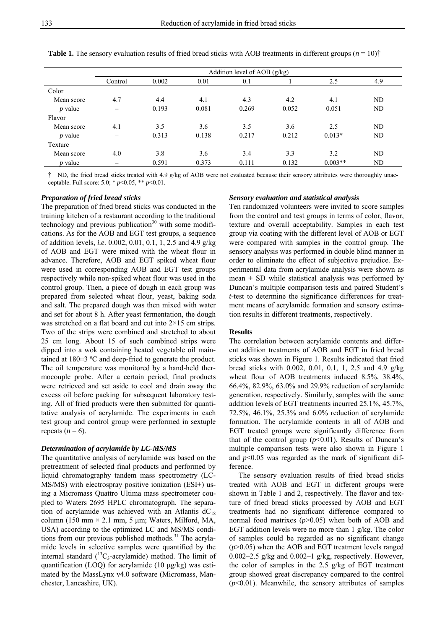|            | Addition level of AOB $(g/kg)$ |       |       |       |       |           |     |  |  |  |
|------------|--------------------------------|-------|-------|-------|-------|-----------|-----|--|--|--|
|            | Control                        | 0.002 | 0.01  | 0.1   |       | 2.5       | 4.9 |  |  |  |
| Color      |                                |       |       |       |       |           |     |  |  |  |
| Mean score | 4.7                            | 4.4   | 4.1   | 4.3   | 4.2   | 4.1       | ND  |  |  |  |
| $p$ value  | $\overline{\phantom{0}}$       | 0.193 | 0.081 | 0.269 | 0.052 | 0.051     | ND  |  |  |  |
| Flavor     |                                |       |       |       |       |           |     |  |  |  |
| Mean score | 4.1                            | 3.5   | 3.6   | 3.5   | 3.6   | 2.5       | ND  |  |  |  |
| $p$ value  | -                              | 0.313 | 0.138 | 0.217 | 0.212 | $0.013*$  | ND  |  |  |  |
| Texture    |                                |       |       |       |       |           |     |  |  |  |
| Mean score | 4.0                            | 3.8   | 3.6   | 3.4   | 3.3   | 3.2       | ND  |  |  |  |
| $p$ value  |                                | 0.591 | 0.373 | 0.111 | 0.132 | $0.003**$ | ND  |  |  |  |

**Table 1.** The sensory evaluation results of fried bread sticks with AOB treatments in different groups  $(n = 10)^{\dagger}$ 

† ND, the fried bread sticks treated with 4.9 g/kg of AOB were not evaluated because their sensory attributes were thoroughly unacceptable. Full score: 5.0; \* *p*<0.05, \*\* *p*<0.01.

#### *Preparation of fried bread sticks*

The preparation of fried bread sticks was conducted in the training kitchen of a restaurant according to the traditional technology and previous publication $30$  with some modifications. As for the AOB and EGT test groups, a sequence of addition levels, *i.e.* 0.002, 0.01, 0.1, 1, 2.5 and 4.9 g/kg of AOB and EGT were mixed with the wheat flour in advance. Therefore, AOB and EGT spiked wheat flour were used in corresponding AOB and EGT test groups respectively while non-spiked wheat flour was used in the control group. Then, a piece of dough in each group was prepared from selected wheat flour, yeast, baking soda and salt. The prepared dough was then mixed with water and set for about 8 h. After yeast fermentation, the dough was stretched on a flat board and cut into  $2\times15$  cm strips. Two of the strips were combined and stretched to about 25 cm long. About 15 of such combined strips were dipped into a wok containing heated vegetable oil maintained at 180±3 ºC and deep-fried to generate the product. The oil temperature was monitored by a hand-held thermocouple probe. After a certain period, final products were retrieved and set aside to cool and drain away the excess oil before packing for subsequent laboratory testing. All of fried products were then submitted for quantitative analysis of acrylamide. The experiments in each test group and control group were performed in sextuple repeats  $(n = 6)$ .

#### *Determination of acrylamide by LC-MS/MS*

The quantitative analysis of acrylamide was based on the pretreatment of selected final products and performed by liquid chromatography tandem mass spectrometry (LC-MS/MS) with electrospray positive ionization (ESI+) using a Micromass Quattro Ultima mass spectrometer coupled to Waters 2695 HPLC chromatograph. The separation of acrylamide was achieved with an Atlantis  $dC_{18}$ column (150 mm  $\times$  2.1 mm, 5 µm; Waters, Milford, MA, USA) according to the optimized LC and MS/MS conditions from our previous published methods.<sup>31</sup> The acrylamide levels in selective samples were quantified by the internal standard  $(^{13}C_3$ -acrylamide) method. The limit of quantification (LOQ) for acrylamide (10 μg/kg) was estimated by the MassLynx v4.0 software (Micromass, Manchester, Lancashire, UK).

#### *Sensory evaluation and statistical analysis*

Ten randomized volunteers were invited to score samples from the control and test groups in terms of color, flavor, texture and overall acceptability. Samples in each test group via coating with the different level of AOB or EGT were compared with samples in the control group. The sensory analysis was performed in double blind manner in order to eliminate the effect of subjective prejudice. Experimental data from acrylamide analysis were shown as mean  $\pm$  SD while statistical analysis was performed by Duncan's multiple comparison tests and paired Student's *t*-test to determine the significance differences for treatment means of acrylamide formation and sensory estimation results in different treatments, respectively.

#### **Results**

The correlation between acrylamide contents and different addition treatments of AOB and EGT in fried bread sticks was shown in Figure 1. Results indicated that fried bread sticks with 0.002, 0.01, 0.1, 1, 2.5 and 4.9 g/kg wheat flour of AOB treatments induced 8.5%, 38.4%, 66.4%, 82.9%, 63.0% and 29.9% reduction of acrylamide generation, respectively. Similarly, samples with the same addition levels of EGT treatments incurred 25.1%, 45.7%, 72.5%, 46.1%, 25.3% and 6.0% reduction of acrylamide formation. The acrylamide contents in all of AOB and EGT treated groups were significantly difference from that of the control group  $(p<0.01)$ . Results of Duncan's multiple comparison tests were also shown in Figure 1 and  $p<0.05$  was regarded as the mark of significant difference.

 The sensory evaluation results of fried bread sticks treated with AOB and EGT in different groups were shown in Table 1 and 2, respectively. The flavor and texture of fried bread sticks processed by AOB and EGT treatments had no significant difference compared to normal food matrixes (*p*>0.05) when both of AOB and EGT addition levels were no more than 1 g/kg. The color of samples could be regarded as no significant change (*p*>0.05) when the AOB and EGT treatment levels ranged 0.002–2.5 g/kg and 0.002–1 g/kg, respectively. However, the color of samples in the 2.5 g/kg of EGT treatment group showed great discrepancy compared to the control (*p*<0.01). Meanwhile, the sensory attributes of samples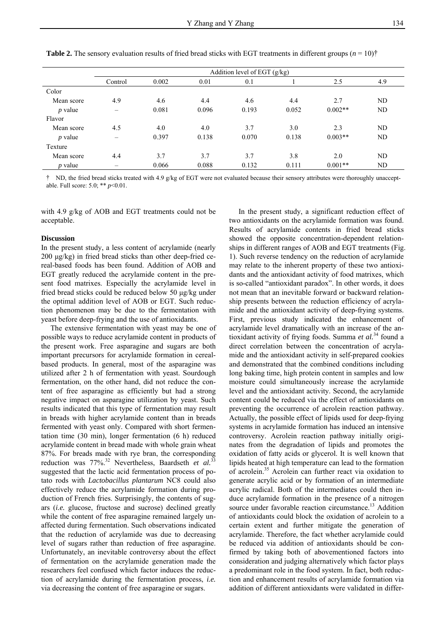|            | Addition level of EGT $(g/kg)$ |       |       |       |       |           |     |  |  |  |
|------------|--------------------------------|-------|-------|-------|-------|-----------|-----|--|--|--|
|            | Control                        | 0.002 | 0.01  | 0.1   |       | 2.5       | 4.9 |  |  |  |
| Color      |                                |       |       |       |       |           |     |  |  |  |
| Mean score | 4.9                            | 4.6   | 4.4   | 4.6   | 4.4   | 2.7       | ND  |  |  |  |
| $p$ value  |                                | 0.081 | 0.096 | 0.193 | 0.052 | $0.002**$ | ND  |  |  |  |
| Flavor     |                                |       |       |       |       |           |     |  |  |  |
| Mean score | 4.5                            | 4.0   | 4.0   | 3.7   | 3.0   | 2.3       | ND  |  |  |  |
| $p$ value  |                                | 0.397 | 0.138 | 0.070 | 0.138 | $0.003**$ | ND  |  |  |  |
| Texture    |                                |       |       |       |       |           |     |  |  |  |
| Mean score | 4.4                            | 3.7   | 3.7   | 3.7   | 3.8   | 2.0       | ND  |  |  |  |
| $p$ value  |                                | 0.066 | 0.088 | 0.132 | 0.111 | $0.001**$ | ND  |  |  |  |

**Table 2.** The sensory evaluation results of fried bread sticks with EGT treatments in different groups  $(n = 10)^{+}$ 

† ND, the fried bread sticks treated with 4.9 g/kg of EGT were not evaluated because their sensory attributes were thoroughly unacceptable. Full score: 5.0; \*\* *p*<0.01.

with 4.9 g/kg of AOB and EGT treatments could not be acceptable.

#### **Discussion**

In the present study, a less content of acrylamide (nearly 200 μg/kg) in fried bread sticks than other deep-fried cereal-based foods has been found. Addition of AOB and EGT greatly reduced the acrylamide content in the present food matrixes. Especially the acrylamide level in fried bread sticks could be reduced below 50 μg/kg under the optimal addition level of AOB or EGT. Such reduction phenomenon may be due to the fermentation with yeast before deep-frying and the use of antioxidants.

 The extensive fermentation with yeast may be one of possible ways to reduce acrylamide content in products of the present work. Free asparagine and sugars are both important precursors for acrylamide formation in cerealbased products. In general, most of the asparagine was utilized after 2 h of fermentation with yeast. Sourdough fermentation, on the other hand, did not reduce the content of free asparagine as efficiently but had a strong negative impact on asparagine utilization by yeast. Such results indicated that this type of fermentation may result in breads with higher acrylamide content than in breads fermented with yeast only. Compared with short fermentation time (30 min), longer fermentation (6 h) reduced acrylamide content in bread made with whole grain wheat 87%. For breads made with rye bran, the corresponding reduction was 77%.32 Nevertheless, Baardseth *et al.*<sup>33</sup> suggested that the lactic acid fermentation process of potato rods with *Lactobacillus plantarum* NC8 could also effectively reduce the acrylamide formation during production of French fries. Surprisingly, the contents of sugars (*i.e.* glucose, fructose and sucrose) declined greatly while the content of free asparagine remained largely unaffected during fermentation. Such observations indicated that the reduction of acrylamide was due to decreasing level of sugars rather than reduction of free asparagine. Unfortunately, an inevitable controversy about the effect of fermentation on the acrylamide generation made the researchers feel confused which factor induces the reduction of acrylamide during the fermentation process, *i.e.* via decreasing the content of free asparagine or sugars.

 In the present study, a significant reduction effect of two antioxidants on the acrylamide formation was found. Results of acrylamide contents in fried bread sticks showed the opposite concentration-dependent relationships in different ranges of AOB and EGT treatments (Fig. 1). Such reverse tendency on the reduction of acrylamide may relate to the inherent property of these two antioxidants and the antioxidant activity of food matrixes, which is so-called "antioxidant paradox". In other words, it does not mean that an inevitable forward or backward relationship presents between the reduction efficiency of acrylamide and the antioxidant activity of deep-frying systems. First, previous study indicated the enhancement of acrylamide level dramatically with an increase of the antioxidant activity of frying foods. Summa *et al.*34 found a direct correlation between the concentration of acrylamide and the antioxidant activity in self-prepared cookies and demonstrated that the combined conditions including long baking time, high protein content in samples and low moisture could simultaneously increase the acrylamide level and the antioxidant activity. Second, the acrylamide content could be reduced via the effect of antioxidants on preventing the occurrence of acrolein reaction pathway. Actually, the possible effect of lipids used for deep-frying systems in acrylamide formation has induced an intensive controversy. Acrolein reaction pathway initially originates from the degradation of lipids and promotes the oxidation of fatty acids or glycerol. It is well known that lipids heated at high temperature can lead to the formation of acrolein.35 Acrolein can further react via oxidation to generate acrylic acid or by formation of an intermediate acrylic radical. Both of the intermediates could then induce acrylamide formation in the presence of a nitrogen source under favorable reaction circumstance.<sup>13</sup> Addition of antioxidants could block the oxidation of acrolein to a certain extent and further mitigate the generation of acrylamide. Therefore, the fact whether acrylamide could be reduced via addition of antioxidants should be confirmed by taking both of abovementioned factors into consideration and judging alternatively which factor plays a predominant role in the food system. In fact, both reduction and enhancement results of acrylamide formation via addition of different antioxidants were validated in differ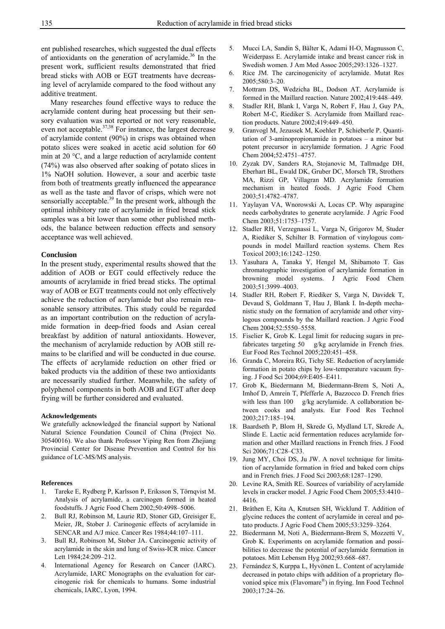ent published researches, which suggested the dual effects of antioxidants on the generation of acrylamide.<sup>36</sup> In the present work, sufficient results demonstrated that fried bread sticks with AOB or EGT treatments have decreasing level of acrylamide compared to the food without any additive treatment.

 Many researches found effective ways to reduce the acrylamide content during heat processing but their sensory evaluation was not reported or not very reasonable, even not acceptable. $37,38$  For instance, the largest decrease of acrylamide content (90%) in crisps was obtained when potato slices were soaked in acetic acid solution for 60 min at 20 °C, and a large reduction of acrylamide content (74%) was also observed after soaking of potato slices in 1% NaOH solution. However, a sour and acerbic taste from both of treatments greatly influenced the appearance as well as the taste and flavor of crisps, which were not sensorially acceptable.<sup>39</sup> In the present work, although the optimal inhibitory rate of acrylamide in fried bread stick samples was a bit lower than some other published methods, the balance between reduction effects and sensory acceptance was well achieved.

#### **Conclusion**

In the present study, experimental results showed that the addition of AOB or EGT could effectively reduce the amounts of acrylamide in fried bread sticks. The optimal way of AOB or EGT treatments could not only effectively achieve the reduction of acrylamide but also remain reasonable sensory attributes. This study could be regarded as an important contribution on the reduction of acrylamide formation in deep-fried foods and Asian cereal breakfast by addition of natural antioxidants. However, the mechanism of acrylamide reduction by AOB still remains to be clarified and will be conducted in due course. The effects of acrylamide reduction on other fried or baked products via the addition of these two antioxidants are necessarily studied further. Meanwhile, the safety of polyphenol components in both AOB and EGT after deep frying will be further considered and evaluated.

#### **Acknowledgements**

We gratefully acknowledged the financial support by National Natural Science Foundation Council of China (Project No. 30540016). We also thank Professor Yiping Ren from Zhejiang Provincial Center for Disease Prevention and Control for his guidance of LC-MS/MS analysis.

#### **References**

- 1. Tareke E, Rydberg P, Karlsson P, Eriksson S, Törnqvist M. Analysis of acrylamide, a carcinogen formed in heated foodstuffs. J Agric Food Chem 2002;50:4998–5006.
- 2. Bull RJ, Robinson M, Laurie RD, Stoner GD, Greisiger E, Meier, JR, Stober J. Carinogenic effects of acrylamide in SENCAR and A/J mice. Cancer Res 1984;44:107–111.
- 3. Bull RJ, Robinson M, Stober JA. Carcinogenic activity of acrylamide in the skin and lung of Swiss-ICR mice. Cancer Lett 1984;24:209–212.
- 4. International Agency for Research on Cancer (IARC). Acrylamide, IARC Monographs on the evaluation for carcinogenic risk for chemicals to humans. Some industrial chemicals, IARC, Lyon, 1994.
- 5. Mucci LA, Sandin S, Bälter K, Adami H-O, Magnusson C, Weiderpass E. Acrylamide intake and breast cancer risk in Swedish women. J Am Med Assoc 2005;293:1326–1327.
- 6. Rice JM. The carcinogenicity of acrylamide. Mutat Res 2005;580:3–20.
- 7. Mottram DS, Wedzicha BL, Dodson AT. Acrylamide is formed in the Maillard reaction. Nature 2002;419:448–449.
- 8. Stadler RH, Blank I, Varga N, Robert F, Hau J, Guy PA, Robert M-C, Riediker S. Acrylamide from Maillard reaction products. Nature 2002;419:449–450.
- 9. Granvogl M, Jezussek M, Koehler P, Schieberle P. Quantitation of 3-aminopropionamide in potatoes – a minor but potent precursor in acrylamide formation. J Agric Food Chem 2004;52:4751–4757.
- 10. Zyzak DV, Sanders RA, Stojanovic M, Tallmadge DH, Eberhart BL, Ewald DK, Gruber DC, Morsch TR, Strothers MA, Rizzi GP, Villagran MD. Acrylamide formation mechanism in heated foods. J Agric Food Chem 2003;51:4782–4787.
- 11. Yaylayan VA, Wnorowski A, Locas CP. Why asparagine needs carbohydrates to generate acrylamide. J Agric Food Chem 2003;51:1753–1757.
- 12. Stadler RH, Verzegnassi L, Varga N, Grigorov M, Studer A, Riediker S, Schilter B. Formation of vinylogous compounds in model Maillard reaction systems. Chem Res Toxicol 2003;16:1242–1250.
- 13. Yasuhara A, Tanaka Y, Hengel M, Shibamoto T. Gas chromatographic investigation of acrylamide formation in browning model systems. J Agric Food Chem 2003;51:3999–4003.
- 14. Stadler RH, Robert F, Riediker S, Varga N, Davidek T, Devaud S, Goldmann T, Hau J, Blank I. In-depth mechanistic study on the formation of acrylamide and other vinylogous compounds by the Maillard reaction. J Agric Food Chem 2004;52:5550–5558.
- 15. Fiselier K, Grob K. Legal limit for reducing sugars in prefabricates targeting 50 g/kg acrylamide in French fries. Eur Food Res Technol 2005;220:451–458.
- 16. Granda C, Moreira RG, Tichy SE. Reduction of acrylamide formation in potato chips by low-temperature vacuum frying. J Food Sci 2004;69:E405–E411.
- 17. Grob K, Biedermann M, Biedermann-Brem S, Noti A, Imhof D, Amrein T, Pfefferle A, Bazzocco D. French fries with less than 100 g/kg acrylamide. A collaboration between cooks and analysts. Eur Food Res Technol 2003;217:185–194.
- 18. Baardseth P, Blom H, Skrede G, Mydland LT, Skrede A, Slinde E. Lactic acid fermentation reduces acrylamide formation and other Maillard reactions in French fries. J Food Sci 2006;71:C28–C33.
- 19. Jung MY, Choi DS, Ju JW. A novel technique for limitation of acrylamide formation in fried and baked corn chips and in French fries. J Food Sci 2003;68:1287–1290.
- 20. Levine RA, Smith RE. Sources of variability of acrylamide levels in cracker model. J Agric Food Chem 2005;53:4410– 4416.
- 21. Bråthen E, Kita A, Knutsen SH, Wicklund T. Addition of glycine reduces the content of acrylamide in cereal and potato products. J Agric Food Chem 2005;53:3259–3264.
- 22. Biedermann M, Noti A, Biedermann-Brem S, Mozzetti V, Grob K. Experiments on acrylamide formation and possibilities to decrease the potential of acrylamide formation in potatoes. Mitt Lebensm Hyg 2002;93:668–687.
- 23. Fernández S, Kurppa L, Hyvönen L. Content of acrylamide decreased in potato chips with addition of a proprietary flovoniod spice mix (Flavomare®) in frying. Inn Food Technol 2003;17:24–26.